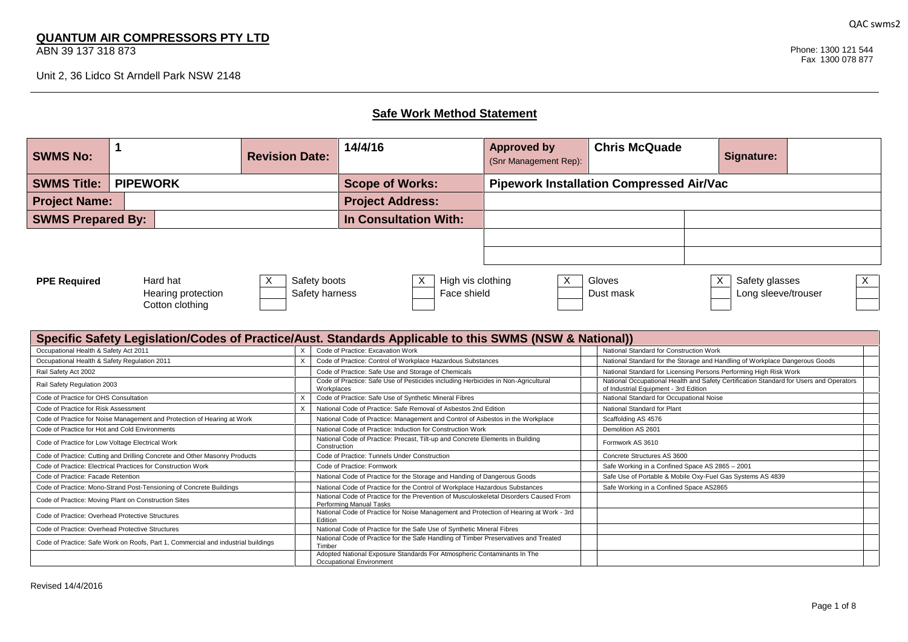# **QUANTUM AIR COMPRESSORS PTY LTD**

ABN 39 137 318 873

### **Safe Work Method Statement**

| <b>SWMS No:</b>          |                                                   | <b>Revision Date:</b>          | 14/4/16                          | <b>Approved by</b><br>(Snr Management Rep): | <b>Chris McQuade</b>                            | Signature:                                                       |
|--------------------------|---------------------------------------------------|--------------------------------|----------------------------------|---------------------------------------------|-------------------------------------------------|------------------------------------------------------------------|
| <b>SWMS Title:</b>       | <b>PIPEWORK</b>                                   |                                | <b>Scope of Works:</b>           |                                             | <b>Pipework Installation Compressed Air/Vac</b> |                                                                  |
| <b>Project Name:</b>     |                                                   |                                | <b>Project Address:</b>          |                                             |                                                 |                                                                  |
| <b>SWMS Prepared By:</b> |                                                   | <b>In Consultation With:</b>   |                                  |                                             |                                                 |                                                                  |
|                          |                                                   |                                |                                  |                                             |                                                 |                                                                  |
| <b>PPE Required</b>      | Hard hat<br>Hearing protection<br>Cotton clothing | Safety boots<br>Safety harness | High vis clothing<br>Face shield |                                             | Gloves<br>Dust mask                             | $\vee$<br>$\times$<br>Safety glasses<br>⌒<br>Long sleeve/trouser |

|                                                                                   | Specific Safety Legislation/Codes of Practice/Aust. Standards Applicable to this SWMS (NSW & National))          |                                                                                                                                 |
|-----------------------------------------------------------------------------------|------------------------------------------------------------------------------------------------------------------|---------------------------------------------------------------------------------------------------------------------------------|
| Occupational Health & Safety Act 2011                                             | Code of Practice: Excavation Work                                                                                | National Standard for Construction Work                                                                                         |
| Occupational Health & Safety Regulation 2011                                      | Code of Practice: Control of Workplace Hazardous Substances                                                      | National Standard for the Storage and Handling of Workplace Dangerous Goods                                                     |
| Rail Safety Act 2002                                                              | Code of Practice: Safe Use and Storage of Chemicals                                                              | National Standard for Licensing Persons Performing High Risk Work                                                               |
| Rail Safety Regulation 2003                                                       | Code of Practice: Safe Use of Pesticides including Herbicides in Non-Agricultural<br>Workplaces                  | National Occupational Health and Safety Certification Standard for Users and Operators<br>of Industrial Equipment - 3rd Edition |
| Code of Practice for OHS Consultation                                             | Code of Practice: Safe Use of Synthetic Mineral Fibres                                                           | National Standard for Occupational Noise                                                                                        |
| Code of Practice for Risk Assessment                                              | National Code of Practice: Safe Removal of Asbestos 2nd Edition                                                  | National Standard for Plant                                                                                                     |
| Code of Practice for Noise Management and Protection of Hearing at Work           | National Code of Practice: Management and Control of Asbestos in the Workplace                                   | Scaffolding AS 4576                                                                                                             |
| Code of Practice for Hot and Cold Environments                                    | National Code of Practice: Induction for Construction Work                                                       | Demolition AS 2601                                                                                                              |
| Code of Practice for Low Voltage Electrical Work                                  | National Code of Practice: Precast, Tilt-up and Concrete Elements in Building<br>Construction                    | Formwork AS 3610                                                                                                                |
| Code of Practice: Cutting and Drilling Concrete and Other Masonry Products        | Code of Practice: Tunnels Under Construction                                                                     | Concrete Structures AS 3600                                                                                                     |
| Code of Practice: Electrical Practices for Construction Work                      | Code of Practice: Formwork                                                                                       | Safe Working in a Confined Space AS 2865 - 2001                                                                                 |
| Code of Practice: Facade Retention                                                | National Code of Practice for the Storage and Handing of Dangerous Goods                                         | Safe Use of Portable & Mobile Oxy-Fuel Gas Systems AS 4839                                                                      |
| Code of Practice: Mono-Strand Post-Tensioning of Concrete Buildings               | National Code of Practice for the Control of Workplace Hazardous Substances                                      | Safe Working in a Confined Space AS2865                                                                                         |
| Code of Practice: Moving Plant on Construction Sites                              | National Code of Practice for the Prevention of Musculoskeletal Disorders Caused From<br>Performing Manual Tasks |                                                                                                                                 |
| Code of Practice: Overhead Protective Structures                                  | National Code of Practice for Noise Management and Protection of Hearing at Work - 3rd<br>Edition                |                                                                                                                                 |
| Code of Practice: Overhead Protective Structures                                  | National Code of Practice for the Safe Use of Synthetic Mineral Fibres                                           |                                                                                                                                 |
| Code of Practice: Safe Work on Roofs, Part 1, Commercial and industrial buildings | National Code of Practice for the Safe Handling of Timber Preservatives and Treated<br>Timber                    |                                                                                                                                 |
|                                                                                   | Adopted National Exposure Standards For Atmospheric Contaminants In The<br>Occupational Environment              |                                                                                                                                 |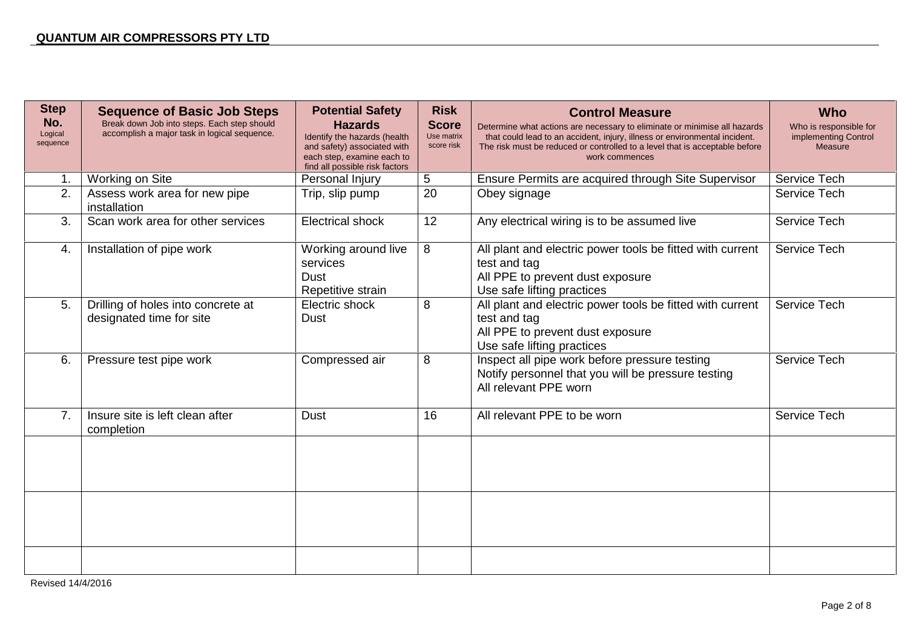| <b>Step</b><br>No.<br>Logical<br>sequence | <b>Sequence of Basic Job Steps</b><br>Break down Job into steps. Each step should<br>accomplish a major task in logical sequence. | <b>Potential Safety</b><br><b>Hazards</b><br>Identify the hazards (health<br>and safety) associated with<br>each step, examine each to<br>find all possible risk factors | <b>Risk</b><br><b>Score</b><br>Use matrix<br>score risk | <b>Control Measure</b><br>Determine what actions are necessary to eliminate or minimise all hazards<br>that could lead to an accident, injury, illness or environmental incident.<br>The risk must be reduced or controlled to a level that is acceptable before<br>work commences | <b>Who</b><br>Who is responsible for<br>implementing Control<br><b>Measure</b> |
|-------------------------------------------|-----------------------------------------------------------------------------------------------------------------------------------|--------------------------------------------------------------------------------------------------------------------------------------------------------------------------|---------------------------------------------------------|------------------------------------------------------------------------------------------------------------------------------------------------------------------------------------------------------------------------------------------------------------------------------------|--------------------------------------------------------------------------------|
| 1.                                        | Working on Site                                                                                                                   | Personal Injury                                                                                                                                                          | $\overline{5}$                                          | Ensure Permits are acquired through Site Supervisor                                                                                                                                                                                                                                | Service Tech                                                                   |
| 2.                                        | Assess work area for new pipe<br>installation                                                                                     | Trip, slip pump                                                                                                                                                          | 20                                                      | Obey signage                                                                                                                                                                                                                                                                       | Service Tech                                                                   |
| 3.                                        | Scan work area for other services                                                                                                 | <b>Electrical shock</b>                                                                                                                                                  | 12                                                      | Any electrical wiring is to be assumed live                                                                                                                                                                                                                                        | Service Tech                                                                   |
| 4.                                        | Installation of pipe work                                                                                                         | Working around live<br>services<br><b>Dust</b><br>Repetitive strain                                                                                                      | 8                                                       | All plant and electric power tools be fitted with current<br>test and tag<br>All PPE to prevent dust exposure<br>Use safe lifting practices                                                                                                                                        | Service Tech                                                                   |
| 5.                                        | Drilling of holes into concrete at<br>designated time for site                                                                    | Electric shock<br>Dust                                                                                                                                                   | 8                                                       | All plant and electric power tools be fitted with current<br>test and tag<br>All PPE to prevent dust exposure<br>Use safe lifting practices                                                                                                                                        | <b>Service Tech</b>                                                            |
| 6.                                        | Pressure test pipe work                                                                                                           | Compressed air                                                                                                                                                           | 8                                                       | Inspect all pipe work before pressure testing<br>Notify personnel that you will be pressure testing<br>All relevant PPE worn                                                                                                                                                       | Service Tech                                                                   |
| 7.                                        | Insure site is left clean after<br>completion                                                                                     | <b>Dust</b>                                                                                                                                                              | 16                                                      | All relevant PPE to be worn                                                                                                                                                                                                                                                        | Service Tech                                                                   |
|                                           |                                                                                                                                   |                                                                                                                                                                          |                                                         |                                                                                                                                                                                                                                                                                    |                                                                                |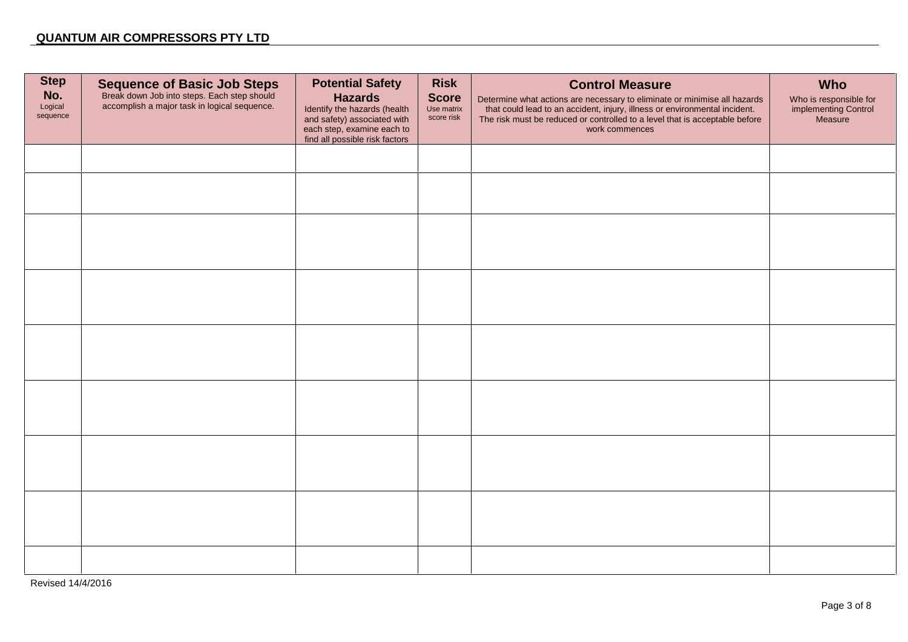### **QUANTUM AIR COMPRESSORS PTY LTD**

| <b>Step</b><br>No.<br>Logical<br>sequence | <b>Sequence of Basic Job Steps</b><br>Break down Job into steps. Each step should<br>accomplish a major task in logical sequence. | <b>Potential Safety</b><br><b>Hazards</b><br>Identify the hazards (health<br>and safety) associated with<br>each step, examine each to<br>find all possible risk factors | <b>Risk</b><br><b>Score</b><br>Use matrix<br>score risk | <b>Control Measure</b><br>Determine what actions are necessary to eliminate or minimise all hazards<br>that could lead to an accident, injury, illness or environmental incident.<br>The risk must be reduced or controlled to a level that is acceptable befo<br>work commences | Who<br>Who is responsible for<br>implementing Control<br>Measure |
|-------------------------------------------|-----------------------------------------------------------------------------------------------------------------------------------|--------------------------------------------------------------------------------------------------------------------------------------------------------------------------|---------------------------------------------------------|----------------------------------------------------------------------------------------------------------------------------------------------------------------------------------------------------------------------------------------------------------------------------------|------------------------------------------------------------------|
|                                           |                                                                                                                                   |                                                                                                                                                                          |                                                         |                                                                                                                                                                                                                                                                                  |                                                                  |
|                                           |                                                                                                                                   |                                                                                                                                                                          |                                                         |                                                                                                                                                                                                                                                                                  |                                                                  |
|                                           |                                                                                                                                   |                                                                                                                                                                          |                                                         |                                                                                                                                                                                                                                                                                  |                                                                  |
|                                           |                                                                                                                                   |                                                                                                                                                                          |                                                         |                                                                                                                                                                                                                                                                                  |                                                                  |
|                                           |                                                                                                                                   |                                                                                                                                                                          |                                                         |                                                                                                                                                                                                                                                                                  |                                                                  |
|                                           |                                                                                                                                   |                                                                                                                                                                          |                                                         |                                                                                                                                                                                                                                                                                  |                                                                  |
|                                           |                                                                                                                                   |                                                                                                                                                                          |                                                         |                                                                                                                                                                                                                                                                                  |                                                                  |
|                                           |                                                                                                                                   |                                                                                                                                                                          |                                                         |                                                                                                                                                                                                                                                                                  |                                                                  |
|                                           |                                                                                                                                   |                                                                                                                                                                          |                                                         |                                                                                                                                                                                                                                                                                  |                                                                  |
|                                           |                                                                                                                                   |                                                                                                                                                                          |                                                         |                                                                                                                                                                                                                                                                                  |                                                                  |

Revised 14/4/2016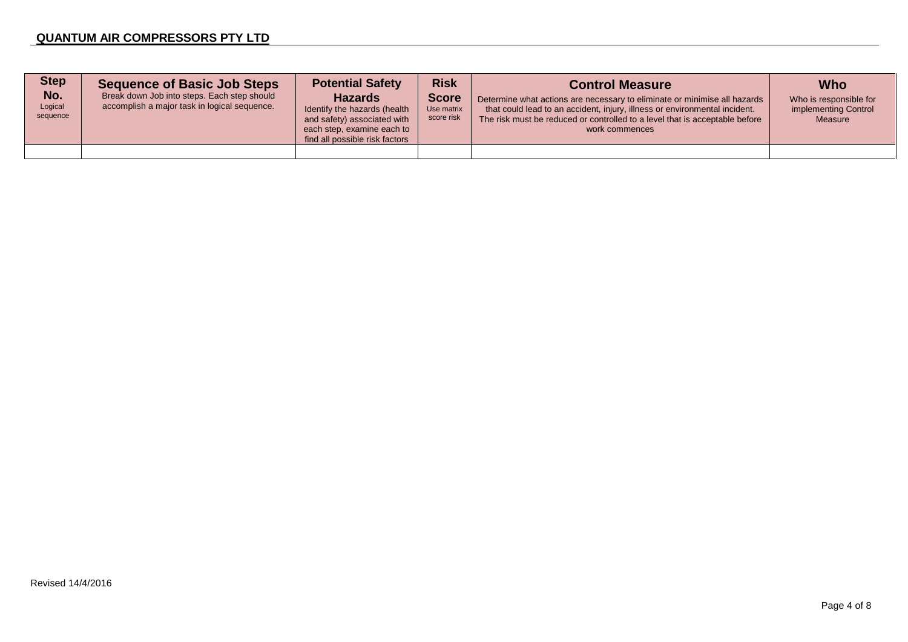### **QUANTUM AIR COMPRESSORS PTY LTD**

| <b>Step</b><br>No.<br>Logical<br>sequence | <b>Sequence of Basic Job Steps</b><br>Break down Job into steps. Each step should<br>accomplish a major task in logical sequence. | <b>Potential Safety</b><br><b>Hazards</b><br>Identify the hazards (health<br>and safety) associated with<br>each step, examine each to<br>find all possible risk factors | <b>Risk</b><br><b>Score</b><br>Use matrix<br>score risk | <b>Control Measure</b><br>Determine what actions are necessary to eliminate or minimise all hazards<br>that could lead to an accident, injury, illness or environmental incident.<br>The risk must be reduced or controlled to a level that is acceptable before<br>work commences | <b>Who</b><br>Who is responsible for<br>implementing Control<br>Measure |
|-------------------------------------------|-----------------------------------------------------------------------------------------------------------------------------------|--------------------------------------------------------------------------------------------------------------------------------------------------------------------------|---------------------------------------------------------|------------------------------------------------------------------------------------------------------------------------------------------------------------------------------------------------------------------------------------------------------------------------------------|-------------------------------------------------------------------------|
|                                           |                                                                                                                                   |                                                                                                                                                                          |                                                         |                                                                                                                                                                                                                                                                                    |                                                                         |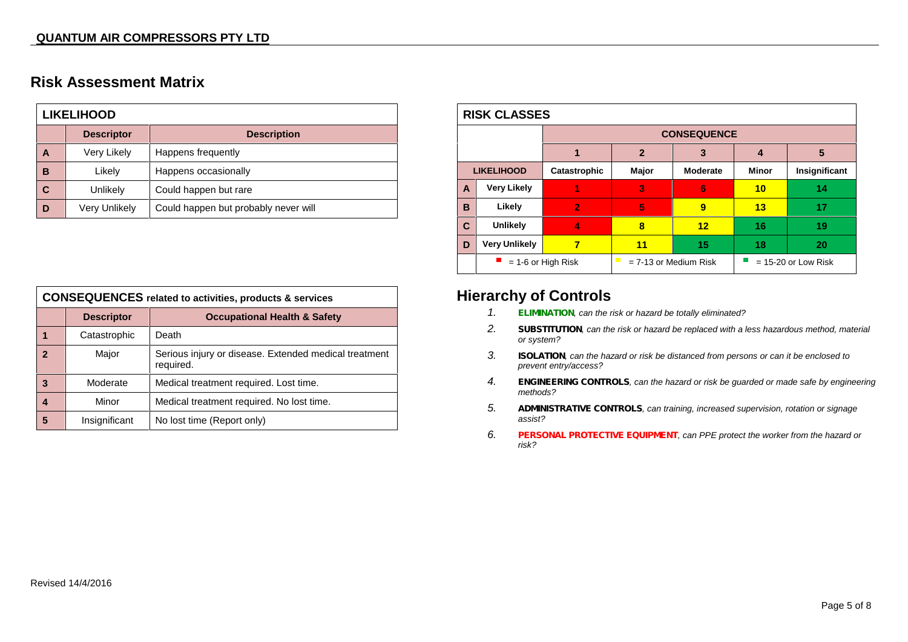# **Risk Assessment Matrix**

|   | <b>LIKELIHOOD</b> |                                      |  |  |  |  |  |  |
|---|-------------------|--------------------------------------|--|--|--|--|--|--|
|   | <b>Descriptor</b> | <b>Description</b>                   |  |  |  |  |  |  |
| A | Very Likely       | Happens frequently                   |  |  |  |  |  |  |
| в | Likely            | Happens occasionally                 |  |  |  |  |  |  |
| С | Unlikely          | Could happen but rare                |  |  |  |  |  |  |
| D | Very Unlikely     | Could happen but probably never will |  |  |  |  |  |  |

| <b>CONSEQUENCES</b> related to activities, products & services |                                                              |                                                                    |  |  |  |  |  |  |
|----------------------------------------------------------------|--------------------------------------------------------------|--------------------------------------------------------------------|--|--|--|--|--|--|
|                                                                | <b>Occupational Health &amp; Safety</b><br><b>Descriptor</b> |                                                                    |  |  |  |  |  |  |
|                                                                | Catastrophic                                                 | Death                                                              |  |  |  |  |  |  |
| 2                                                              | Major                                                        | Serious injury or disease. Extended medical treatment<br>required. |  |  |  |  |  |  |
| 3                                                              | Moderate                                                     | Medical treatment required. Lost time.                             |  |  |  |  |  |  |
|                                                                | Minor                                                        | Medical treatment required. No lost time.                          |  |  |  |  |  |  |
| 5                                                              | Insignificant                                                | No lost time (Report only)                                         |  |  |  |  |  |  |

| <b>RISK CLASSES</b> |                      |                      |                    |                         |                       |               |  |  |  |  |
|---------------------|----------------------|----------------------|--------------------|-------------------------|-----------------------|---------------|--|--|--|--|
|                     |                      |                      | <b>CONSEQUENCE</b> |                         |                       |               |  |  |  |  |
|                     |                      |                      | $\mathbf{2}$       | 3                       | 4                     | 5             |  |  |  |  |
| <b>LIKELIHOOD</b>   |                      | Catastrophic         | Major              | <b>Moderate</b>         | Minor                 | Insignificant |  |  |  |  |
| A                   | <b>Very Likely</b>   |                      | 3                  | 6                       | 10                    | 14            |  |  |  |  |
| B                   | Likely               | $\overline{2}$       | 5                  | 9                       | 13                    | 17            |  |  |  |  |
| C                   | <b>Unlikely</b>      | 4                    | 8                  | $12 \ \mathsf{ }$       | 16                    | 19            |  |  |  |  |
| D                   | <b>Very Unlikely</b> | 7                    | 11                 | 15                      | 18                    | 20            |  |  |  |  |
|                     |                      | $= 1-6$ or High Risk |                    | $= 7-13$ or Medium Risk | $= 15-20$ or Low Risk |               |  |  |  |  |

## **Hierarchy of Controls**

- *1. ELIMINATION, can the risk or hazard be totally eliminated?*
- *2. SUBSTITUTION, can the risk or hazard be replaced with a less hazardous method, material or system?*
- *3. ISOLATION, can the hazard or risk be distanced from persons or can it be enclosed to prevent entry/access?*
- *4. ENGINEERING CONTROLS, can the hazard or risk be guarded or made safe by engineering methods?*
- *5. ADMINISTRATIVE CONTROLS, can training, increased supervision, rotation or signage assist?*
- *6. PERSONAL PROTECTIVE EQUIPMENT, can PPE protect the worker from the hazard or risk?*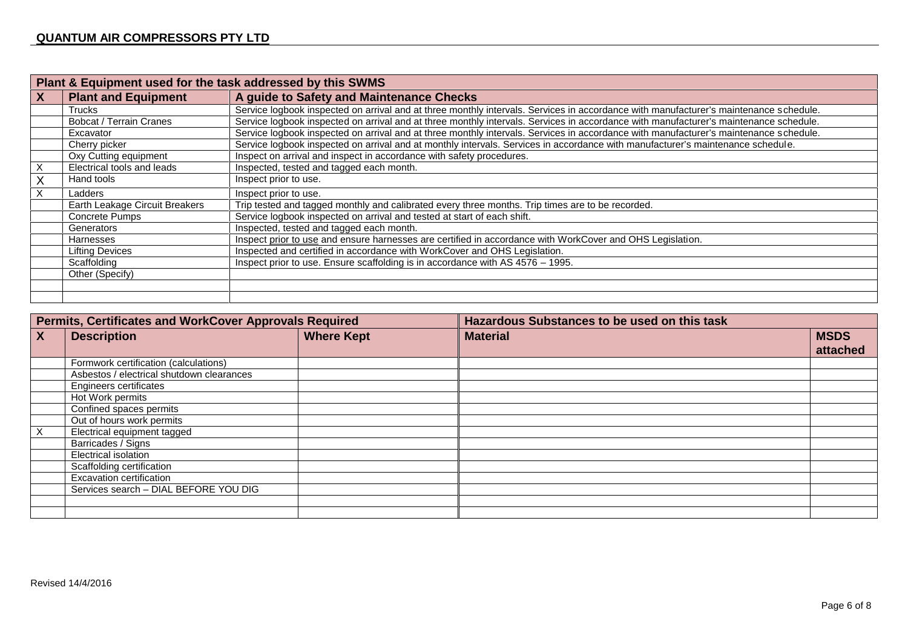|   | Plant & Equipment used for the task addressed by this SWMS                                                                                       |                                                                                                                                       |  |  |  |  |  |  |
|---|--------------------------------------------------------------------------------------------------------------------------------------------------|---------------------------------------------------------------------------------------------------------------------------------------|--|--|--|--|--|--|
| X | <b>Plant and Equipment</b>                                                                                                                       | A guide to Safety and Maintenance Checks                                                                                              |  |  |  |  |  |  |
|   | <b>Trucks</b>                                                                                                                                    | Service logbook inspected on arrival and at three monthly intervals. Services in accordance with manufacturer's maintenance schedule. |  |  |  |  |  |  |
|   | Bobcat / Terrain Cranes                                                                                                                          | Service logbook inspected on arrival and at three monthly intervals. Services in accordance with manufacturer's maintenance schedule. |  |  |  |  |  |  |
|   | Excavator                                                                                                                                        | Service logbook inspected on arrival and at three monthly intervals. Services in accordance with manufacturer's maintenance schedule. |  |  |  |  |  |  |
|   | Service logbook inspected on arrival and at monthly intervals. Services in accordance with manufacturer's maintenance schedule.<br>Cherry picker |                                                                                                                                       |  |  |  |  |  |  |
|   | Inspect on arrival and inspect in accordance with safety procedures.<br>Oxy Cutting equipment                                                    |                                                                                                                                       |  |  |  |  |  |  |
| X | Electrical tools and leads                                                                                                                       | Inspected, tested and tagged each month.                                                                                              |  |  |  |  |  |  |
|   | Hand tools                                                                                                                                       | Inspect prior to use.                                                                                                                 |  |  |  |  |  |  |
|   | Ladders                                                                                                                                          | Inspect prior to use.                                                                                                                 |  |  |  |  |  |  |
|   | Earth Leakage Circuit Breakers                                                                                                                   | Trip tested and tagged monthly and calibrated every three months. Trip times are to be recorded.                                      |  |  |  |  |  |  |
|   | Concrete Pumps                                                                                                                                   | Service logbook inspected on arrival and tested at start of each shift.                                                               |  |  |  |  |  |  |
|   | Generators                                                                                                                                       | Inspected, tested and tagged each month.                                                                                              |  |  |  |  |  |  |
|   | Harnesses                                                                                                                                        | Inspect prior to use and ensure harnesses are certified in accordance with WorkCover and OHS Legislation.                             |  |  |  |  |  |  |
|   | <b>Lifting Devices</b>                                                                                                                           | Inspected and certified in accordance with WorkCover and OHS Legislation.                                                             |  |  |  |  |  |  |
|   | Scaffolding                                                                                                                                      | Inspect prior to use. Ensure scaffolding is in accordance with AS 4576 - 1995.                                                        |  |  |  |  |  |  |
|   | Other (Specify)                                                                                                                                  |                                                                                                                                       |  |  |  |  |  |  |
|   |                                                                                                                                                  |                                                                                                                                       |  |  |  |  |  |  |
|   |                                                                                                                                                  |                                                                                                                                       |  |  |  |  |  |  |

|    | Permits, Certificates and WorkCover Approvals Required |                   | Hazardous Substances to be used on this task |             |
|----|--------------------------------------------------------|-------------------|----------------------------------------------|-------------|
| X  | <b>Description</b>                                     | <b>Where Kept</b> | <b>Material</b>                              | <b>MSDS</b> |
|    |                                                        |                   |                                              | attached    |
|    | Formwork certification (calculations)                  |                   |                                              |             |
|    | Asbestos / electrical shutdown clearances              |                   |                                              |             |
|    | Engineers certificates                                 |                   |                                              |             |
|    | Hot Work permits                                       |                   |                                              |             |
|    | Confined spaces permits                                |                   |                                              |             |
|    | Out of hours work permits                              |                   |                                              |             |
| X. | Electrical equipment tagged                            |                   |                                              |             |
|    | Barricades / Signs                                     |                   |                                              |             |
|    | Electrical isolation                                   |                   |                                              |             |
|    | Scaffolding certification                              |                   |                                              |             |
|    | <b>Excavation certification</b>                        |                   |                                              |             |
|    | Services search - DIAL BEFORE YOU DIG                  |                   |                                              |             |
|    |                                                        |                   |                                              |             |
|    |                                                        |                   |                                              |             |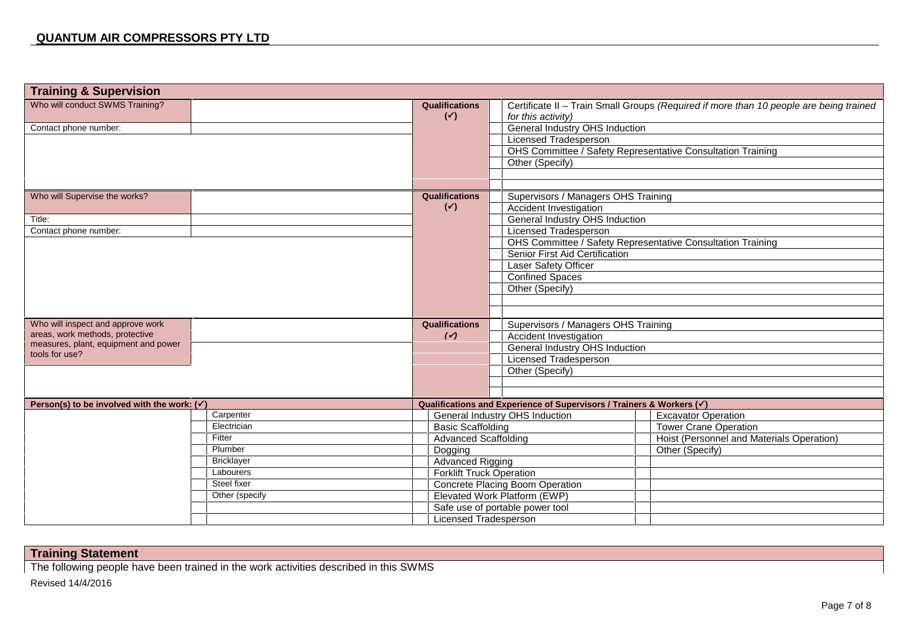| <b>Training &amp; Supervision</b>                                    |                                              |                                         |  |                                                                       |                                                                                        |
|----------------------------------------------------------------------|----------------------------------------------|-----------------------------------------|--|-----------------------------------------------------------------------|----------------------------------------------------------------------------------------|
| Who will conduct SWMS Training?                                      |                                              | <b>Qualifications</b><br>$(\checkmark)$ |  | for this activity)                                                    | Certificate II - Train Small Groups (Required if more than 10 people are being trained |
| Contact phone number:                                                |                                              |                                         |  | General Industry OHS Induction                                        |                                                                                        |
|                                                                      |                                              |                                         |  | Licensed Tradesperson                                                 |                                                                                        |
|                                                                      |                                              |                                         |  | OHS Committee / Safety Representative Consultation Training           |                                                                                        |
|                                                                      |                                              |                                         |  | Other (Specify)                                                       |                                                                                        |
|                                                                      |                                              |                                         |  |                                                                       |                                                                                        |
|                                                                      |                                              |                                         |  |                                                                       |                                                                                        |
| Who will Supervise the works?                                        |                                              | Qualifications                          |  | Supervisors / Managers OHS Training                                   |                                                                                        |
|                                                                      |                                              | $(\checkmark)$                          |  | Accident Investigation                                                |                                                                                        |
| Title:                                                               |                                              |                                         |  | General Industry OHS Induction                                        |                                                                                        |
| Contact phone number:                                                |                                              |                                         |  | Licensed Tradesperson                                                 |                                                                                        |
|                                                                      |                                              |                                         |  | OHS Committee / Safety Representative Consultation Training           |                                                                                        |
|                                                                      |                                              |                                         |  | Senior First Aid Certification                                        |                                                                                        |
|                                                                      |                                              |                                         |  | Laser Safety Officer                                                  |                                                                                        |
|                                                                      |                                              |                                         |  | <b>Confined Spaces</b>                                                |                                                                                        |
|                                                                      |                                              |                                         |  | Other (Specify)                                                       |                                                                                        |
|                                                                      |                                              |                                         |  |                                                                       |                                                                                        |
|                                                                      |                                              |                                         |  |                                                                       |                                                                                        |
| Who will inspect and approve work<br>areas, work methods, protective |                                              | <b>Qualifications</b>                   |  | Supervisors / Managers OHS Training                                   |                                                                                        |
| measures, plant, equipment and power                                 |                                              | $(\check{v})$                           |  | <b>Accident Investigation</b>                                         |                                                                                        |
| tools for use?                                                       |                                              |                                         |  | General Industry OHS Induction                                        |                                                                                        |
|                                                                      |                                              |                                         |  | <b>Licensed Tradesperson</b>                                          |                                                                                        |
|                                                                      |                                              |                                         |  | Other (Specify)                                                       |                                                                                        |
|                                                                      |                                              |                                         |  |                                                                       |                                                                                        |
| Person(s) to be involved with the work: $(v')$                       |                                              |                                         |  | Qualifications and Experience of Supervisors / Trainers & Workers $($ |                                                                                        |
|                                                                      | Carpenter                                    |                                         |  | General Industry OHS Induction                                        | <b>Excavator Operation</b>                                                             |
|                                                                      | Electrician                                  | <b>Basic Scaffolding</b>                |  |                                                                       | <b>Tower Crane Operation</b>                                                           |
|                                                                      | Fitter                                       | Advanced Scaffolding                    |  |                                                                       | Hoist (Personnel and Materials Operation)                                              |
|                                                                      | Plumber                                      | Dogging                                 |  |                                                                       | Other (Specify)                                                                        |
|                                                                      | <b>Bricklayer</b><br><b>Advanced Rigging</b> |                                         |  |                                                                       |                                                                                        |
|                                                                      | Labourers<br><b>Forklift Truck Operation</b> |                                         |  |                                                                       |                                                                                        |
|                                                                      | Steel fixer                                  |                                         |  | Concrete Placing Boom Operation                                       |                                                                                        |
|                                                                      | Other (specify                               |                                         |  | Elevated Work Platform (EWP)                                          |                                                                                        |
|                                                                      |                                              |                                         |  | Safe use of portable power tool                                       |                                                                                        |
|                                                                      |                                              | Licensed Tradesperson                   |  |                                                                       |                                                                                        |

**Training Statement**

The following people have been trained in the work activities described in this SWMS

Revised 14/4/2016